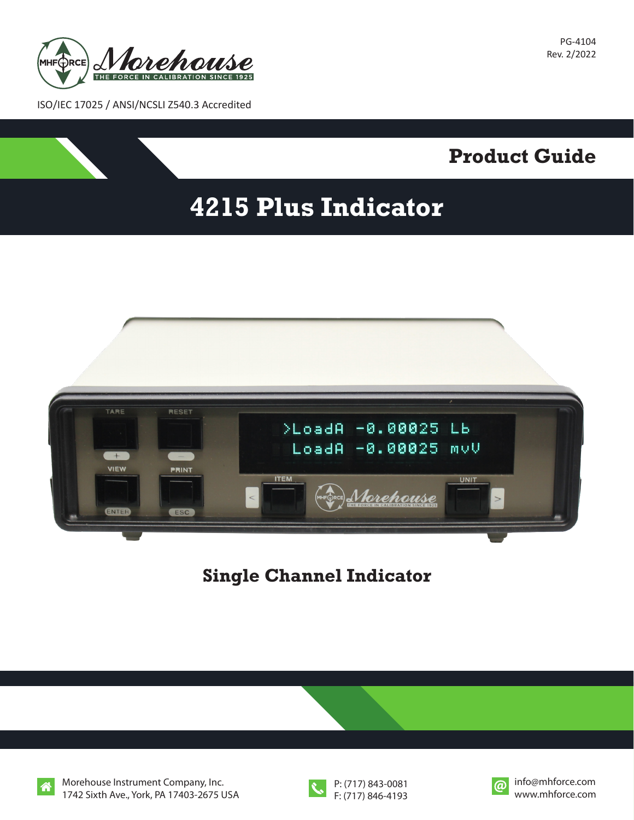

PG-4104 Rev. 2/2022

**Product Guide**

ISO/IEC 17025 / ANSI/NCSLI Z540.3 Accredited



**Single Channel Indicator**



Morehouse Instrument Company, Inc. 1742 Sixth Ave., York, PA 17403-2675 USA



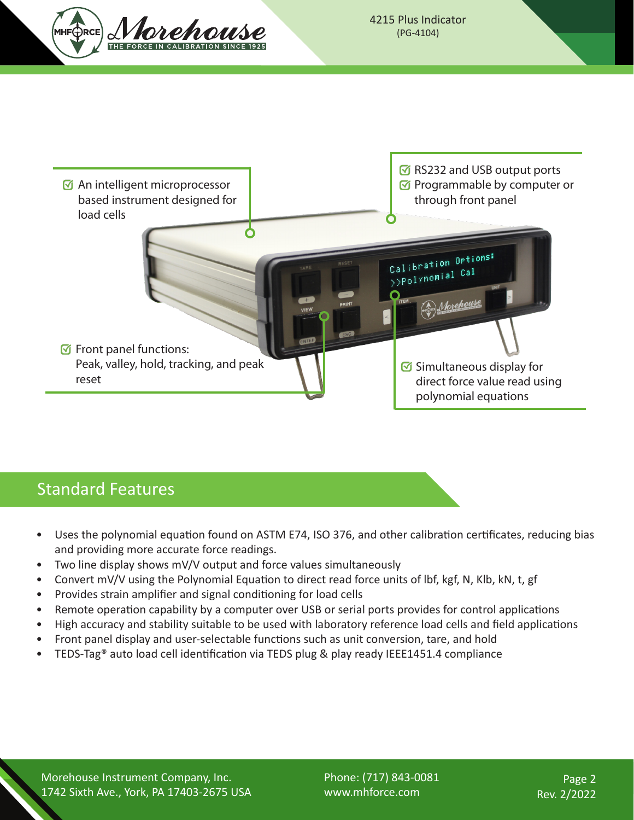



## Standard Features

- Uses the polynomial equation found on ASTM E74, ISO 376, and other calibration certificates, reducing bias and providing more accurate force readings.
- Two line display shows mV/V output and force values simultaneously
- Convert mV/V using the Polynomial Equation to direct read force units of lbf, kgf, N, Klb, kN, t, gf
- Provides strain amplifier and signal conditioning for load cells
- Remote operation capability by a computer over USB or serial ports provides for control applications
- High accuracy and stability suitable to be used with laboratory reference load cells and field applications
- Front panel display and user-selectable functions such as unit conversion, tare, and hold
- TEDS-Tag® auto load cell identification via TEDS plug & play ready IEEE1451.4 compliance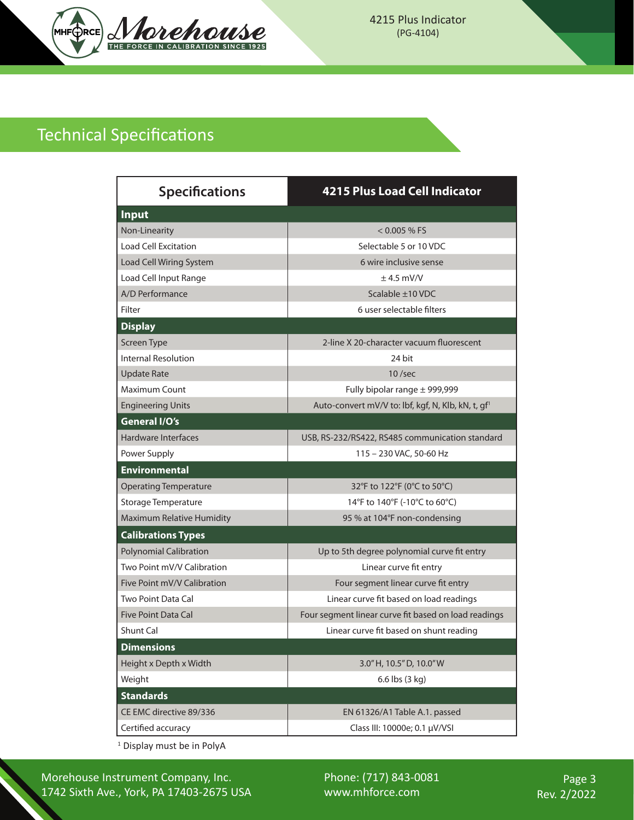

## Technical Specifications

| <b>Specifications</b>         | <b>4215 Plus Load Cell Indicator</b>                           |
|-------------------------------|----------------------------------------------------------------|
| <b>Input</b>                  |                                                                |
| Non-Linearity                 | $< 0.005 %$ FS                                                 |
| <b>Load Cell Excitation</b>   | Selectable 5 or 10 VDC                                         |
| Load Cell Wiring System       | 6 wire inclusive sense                                         |
| Load Cell Input Range         | $±$ 4.5 mV/V                                                   |
| A/D Performance               | Scalable ±10 VDC                                               |
| Filter                        | 6 user selectable filters                                      |
| <b>Display</b>                |                                                                |
| Screen Type                   | 2-line X 20-character vacuum fluorescent                       |
| <b>Internal Resolution</b>    | 24 bit                                                         |
| <b>Update Rate</b>            | $10$ /sec                                                      |
| <b>Maximum Count</b>          | Fully bipolar range $\pm$ 999,999                              |
| <b>Engineering Units</b>      | Auto-convert mV/V to: lbf, kgf, N, Klb, kN, t, gf <sup>1</sup> |
| General I/O's                 |                                                                |
| Hardware Interfaces           | USB, RS-232/RS422, RS485 communication standard                |
| Power Supply                  | 115 - 230 VAC, 50-60 Hz                                        |
| <b>Environmental</b>          |                                                                |
| <b>Operating Temperature</b>  | 32°F to 122°F (0°C to 50°C)                                    |
| Storage Temperature           | 14°F to 140°F (-10°C to 60°C)                                  |
| Maximum Relative Humidity     | 95 % at 104°F non-condensing                                   |
| <b>Calibrations Types</b>     |                                                                |
| <b>Polynomial Calibration</b> | Up to 5th degree polynomial curve fit entry                    |
| Two Point mV/V Calibration    | Linear curve fit entry                                         |
| Five Point mV/V Calibration   | Four segment linear curve fit entry                            |
| Two Point Data Cal            | Linear curve fit based on load readings                        |
| <b>Five Point Data Cal</b>    | Four segment linear curve fit based on load readings           |
| Shunt Cal                     | Linear curve fit based on shunt reading                        |
| <b>Dimensions</b>             |                                                                |
| Height x Depth x Width        | 3.0" H, 10.5" D, 10.0" W                                       |
| Weight                        | 6.6 lbs (3 kg)                                                 |
| <b>Standards</b>              |                                                                |
| CE EMC directive 89/336       | EN 61326/A1 Table A.1. passed                                  |
| Certified accuracy            | Class III: 10000e; 0.1 µV/VSI                                  |

1 Display must be in PolyA

Morehouse Instrument Company, Inc. 1742 Sixth Ave., York, PA 17403-2675 USA Phone: (717) 843-0081 www.mhforce.com

Page 3 Rev. 2/2022